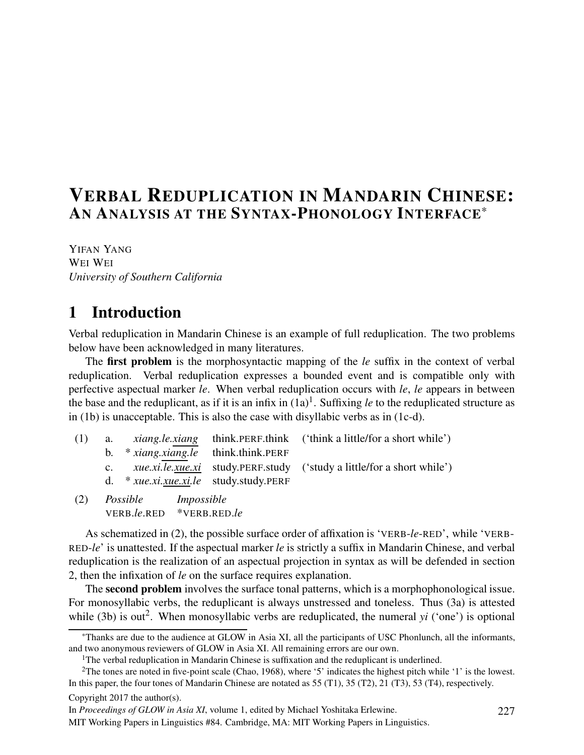# VERBAL REDUPLICATION IN MANDARIN CHINESE: AN ANALYSIS AT THE SYNTAX-PHONOLOGY INTERFACE\*

YIFAN YANG WEI WEI *University of Southern California*

# 1 Introduction

Verbal reduplication in Mandarin Chinese is an example of full reduplication. The two problems below have been acknowledged in many literatures.

The first problem is the morphosyntactic mapping of the *le* suffix in the context of verbal reduplication. Verbal reduplication expresses a bounded event and is compatible only with perfective aspectual marker *le*. When verbal reduplication occurs with *le*, *le* appears in between the base and the reduplicant, as if it is an infix in  $(1a)^{1}$ . Suffixing *le* to the reduplicated structure as in (1b) is unacceptable. This is also the case with disyllabic verbs as in (1c-d).

| (1) |             |                                                                                                                                                                                                                                                                                                                                                                                      | a. <i>xiang.le.xiang</i> think.PERF.think ('think a little/for a short while') |
|-----|-------------|--------------------------------------------------------------------------------------------------------------------------------------------------------------------------------------------------------------------------------------------------------------------------------------------------------------------------------------------------------------------------------------|--------------------------------------------------------------------------------|
|     |             | b. $* xiang.xiang. le think.think.PERF$                                                                                                                                                                                                                                                                                                                                              |                                                                                |
|     | $c_{\cdot}$ |                                                                                                                                                                                                                                                                                                                                                                                      | <i>xue.xi.le.xue.xi</i> study.PERF.study ('study a little/for a short while')  |
|     |             | d. $*$ <i>xue.xi.xue.xi.le</i> study.study.PERF                                                                                                                                                                                                                                                                                                                                      |                                                                                |
| (2) |             | $\overline{a}$ $\overline{a}$ $\overline{b}$ $\overline{a}$ $\overline{b}$ $\overline{a}$ $\overline{a}$ $\overline{a}$ $\overline{a}$ $\overline{a}$ $\overline{a}$ $\overline{a}$ $\overline{a}$ $\overline{a}$ $\overline{a}$ $\overline{a}$ $\overline{a}$ $\overline{a}$ $\overline{a}$ $\overline{a}$ $\overline{a}$ $\overline{a}$ $\overline{a}$ $\overline{a}$ $\overline{$ |                                                                                |

(2) *Possible Impossible* VERB.*le*.RED \*VERB.RED.*le*

As schematized in (2), the possible surface order of affixation is 'VERB-*le*-RED', while 'VERB-RED-*le*' is unattested. If the aspectual marker *le* is strictly a suffix in Mandarin Chinese, and verbal reduplication is the realization of an aspectual projection in syntax as will be defended in section 2, then the infixation of *le* on the surface requires explanation.

The **second problem** involves the surface tonal patterns, which is a morphophonological issue. For monosyllabic verbs, the reduplicant is always unstressed and toneless. Thus (3a) is attested while (3b) is out<sup>2</sup>. When monosyllabic verbs are reduplicated, the numeral  $yi$  ('one') is optional

Copyright 2017 the author(s).

In *Proceedings of GLOW in Asia XI*, volume 1, edited by Michael Yoshitaka Erlewine.

MIT Working Papers in Linguistics #84. Cambridge, MA: MIT Working Papers in Linguistics.

<sup>\*</sup>Thanks are due to the audience at GLOW in Asia XI, all the participants of USC Phonlunch, all the informants, and two anonymous reviewers of GLOW in Asia XI. All remaining errors are our own.

<sup>&</sup>lt;sup>1</sup>The verbal reduplication in Mandarin Chinese is suffixation and the reduplicant is underlined.

<sup>&</sup>lt;sup>2</sup>The tones are noted in five-point scale (Chao, 1968), where '5' indicates the highest pitch while '1' is the lowest. In this paper, the four tones of Mandarin Chinese are notated as 55 (T1), 35 (T2), 21 (T3), 53 (T4), respectively.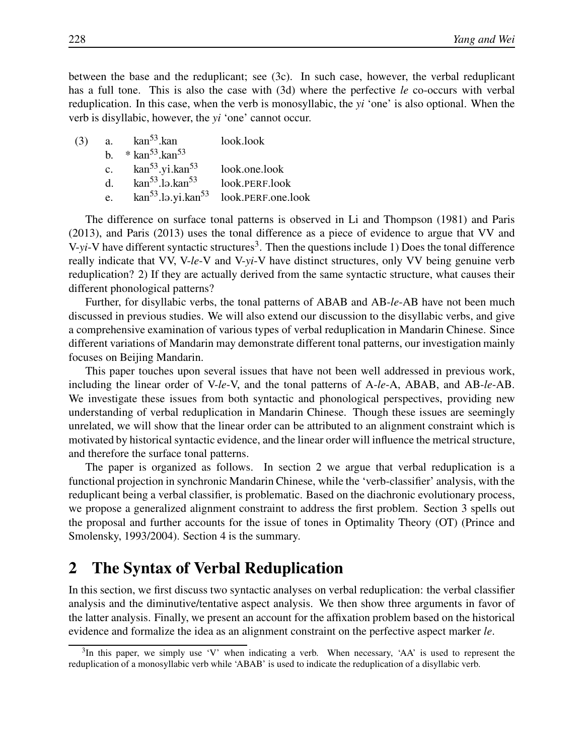between the base and the reduplicant; see (3c). In such case, however, the verbal reduplicant has a full tone. This is also the case with (3d) where the perfective *le* co-occurs with verbal reduplication. In this case, when the verb is monosyllabic, the *yi* 'one' is also optional. When the verb is disyllabic, however, the *yi* 'one' cannot occur.

| (3) |         | a. $\arctan^{53}$ .kan                   | look.look                                                     |
|-----|---------|------------------------------------------|---------------------------------------------------------------|
|     | $h_{-}$ | $*$ kan <sup>53</sup> .kan <sup>53</sup> |                                                               |
|     | c.      | kan <sup>53</sup> .yi.kan <sup>53</sup>  | look.one.look                                                 |
|     | $d_{-}$ | $\mathrm{kan}^{53}$ .lə.kan $^{53}$      | look.PERF.look                                                |
|     | e.      |                                          | $\text{kan}^{53}$ .lə.yi.kan <sup>53</sup> look.PERF.one.look |

The difference on surface tonal patterns is observed in Li and Thompson (1981) and Paris (2013), and Paris (2013) uses the tonal difference as a piece of evidence to argue that VV and V-yi-V have different syntactic structures<sup>3</sup>. Then the questions include 1) Does the tonal difference really indicate that VV, V-*le*-V and V-*yi*-V have distinct structures, only VV being genuine verb reduplication? 2) If they are actually derived from the same syntactic structure, what causes their different phonological patterns?

Further, for disyllabic verbs, the tonal patterns of ABAB and AB-*le*-AB have not been much discussed in previous studies. We will also extend our discussion to the disyllabic verbs, and give a comprehensive examination of various types of verbal reduplication in Mandarin Chinese. Since different variations of Mandarin may demonstrate different tonal patterns, our investigation mainly focuses on Beijing Mandarin.

This paper touches upon several issues that have not been well addressed in previous work, including the linear order of V-*le*-V, and the tonal patterns of A-*le*-A, ABAB, and AB-*le*-AB. We investigate these issues from both syntactic and phonological perspectives, providing new understanding of verbal reduplication in Mandarin Chinese. Though these issues are seemingly unrelated, we will show that the linear order can be attributed to an alignment constraint which is motivated by historical syntactic evidence, and the linear order will influence the metrical structure, and therefore the surface tonal patterns.

The paper is organized as follows. In section 2 we argue that verbal reduplication is a functional projection in synchronic Mandarin Chinese, while the 'verb-classifier' analysis, with the reduplicant being a verbal classifier, is problematic. Based on the diachronic evolutionary process, we propose a generalized alignment constraint to address the first problem. Section 3 spells out the proposal and further accounts for the issue of tones in Optimality Theory (OT) (Prince and Smolensky, 1993/2004). Section 4 is the summary.

# 2 The Syntax of Verbal Reduplication

In this section, we first discuss two syntactic analyses on verbal reduplication: the verbal classifier analysis and the diminutive/tentative aspect analysis. We then show three arguments in favor of the latter analysis. Finally, we present an account for the affixation problem based on the historical evidence and formalize the idea as an alignment constraint on the perfective aspect marker *le*.

 $3$ In this paper, we simply use 'V' when indicating a verb. When necessary, 'AA' is used to represent the reduplication of a monosyllabic verb while 'ABAB' is used to indicate the reduplication of a disyllabic verb.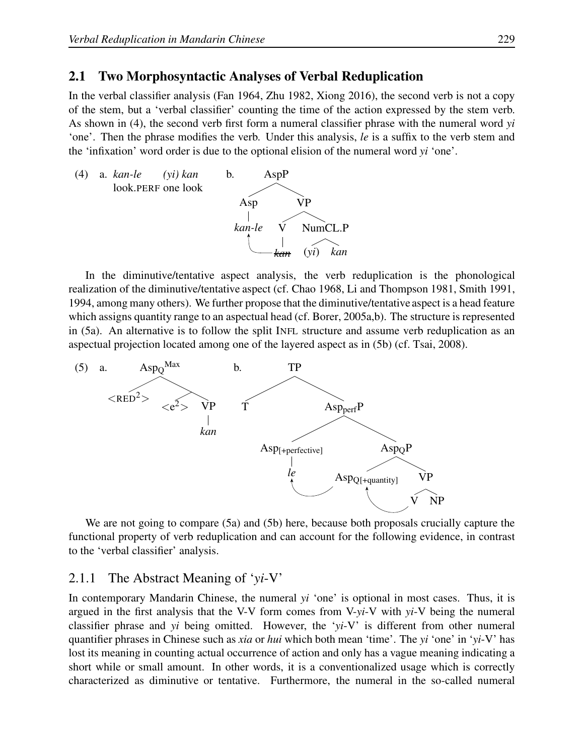#### 2.1 Two Morphosyntactic Analyses of Verbal Reduplication

In the verbal classifier analysis (Fan 1964, Zhu 1982, Xiong 2016), the second verb is not a copy of the stem, but a 'verbal classifier' counting the time of the action expressed by the stem verb. As shown in (4), the second verb first form a numeral classifier phrase with the numeral word *yi* 'one'. Then the phrase modifies the verb. Under this analysis, *le* is a suffix to the verb stem and the 'infixation' word order is due to the optional elision of the numeral word *yi* 'one'.



In the diminutive/tentative aspect analysis, the verb reduplication is the phonological realization of the diminutive/tentative aspect (cf. Chao 1968, Li and Thompson 1981, Smith 1991, 1994, among many others). We further propose that the diminutive/tentative aspect is a head feature which assigns quantity range to an aspectual head (cf. Borer, 2005a,b). The structure is represented in (5a). An alternative is to follow the split INFL structure and assume verb reduplication as an aspectual projection located among one of the layered aspect as in (5b) (cf. Tsai, 2008).



We are not going to compare (5a) and (5b) here, because both proposals crucially capture the functional property of verb reduplication and can account for the following evidence, in contrast to the 'verbal classifier' analysis.

#### 2.1.1 The Abstract Meaning of '*yi*-V'

In contemporary Mandarin Chinese, the numeral *yi* 'one' is optional in most cases. Thus, it is argued in the first analysis that the V-V form comes from V-*yi*-V with *yi*-V being the numeral classifier phrase and *yi* being omitted. However, the '*yi*-V' is different from other numeral quantifier phrases in Chinese such as *xia* or *hui* which both mean 'time'. The *yi* 'one' in '*yi*-V' has lost its meaning in counting actual occurrence of action and only has a vague meaning indicating a short while or small amount. In other words, it is a conventionalized usage which is correctly characterized as diminutive or tentative. Furthermore, the numeral in the so-called numeral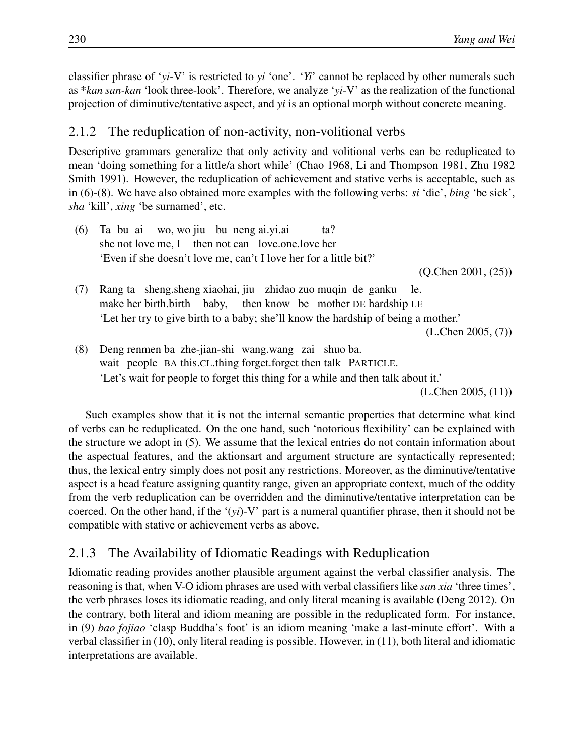classifier phrase of '*yi*-V' is restricted to *yi* 'one'. '*Yi*' cannot be replaced by other numerals such as \**kan san-kan* 'look three-look'. Therefore, we analyze '*yi*-V' as the realization of the functional projection of diminutive/tentative aspect, and *yi* is an optional morph without concrete meaning.

## 2.1.2 The reduplication of non-activity, non-volitional verbs

Descriptive grammars generalize that only activity and volitional verbs can be reduplicated to mean 'doing something for a little/a short while' (Chao 1968, Li and Thompson 1981, Zhu 1982 Smith 1991). However, the reduplication of achievement and stative verbs is acceptable, such as in (6)-(8). We have also obtained more examples with the following verbs: *si* 'die', *bing* 'be sick', *sha* 'kill', *xing* 'be surnamed', etc.

 $(6)$ she not love me, I then not can love.one.love her bu ai wo, wo jiu bu neng ai.yi.ai ta? 'Even if she doesn't love me, can't I love her for a little bit?'

(Q.Chen 2001, (25))

(7) Rang ta sheng.sheng xiaohai, jiu zhidao zuo muqin de ganku make her birth.birth baby, then know be mother DE hardship LE le. 'Let her try to give birth to a baby; she'll know the hardship of being a mother.'

(L.Chen 2005, (7))

(8) Deng renmen ba zhe-jian-shi wang.wang zai shuo ba. wait people BA this.CL.thing forget.forget then talk PARTICLE. 'Let's wait for people to forget this thing for a while and then talk about it.'

(L.Chen 2005, (11))

Such examples show that it is not the internal semantic properties that determine what kind of verbs can be reduplicated. On the one hand, such 'notorious flexibility' can be explained with the structure we adopt in (5). We assume that the lexical entries do not contain information about the aspectual features, and the aktionsart and argument structure are syntactically represented; thus, the lexical entry simply does not posit any restrictions. Moreover, as the diminutive/tentative aspect is a head feature assigning quantity range, given an appropriate context, much of the oddity from the verb reduplication can be overridden and the diminutive/tentative interpretation can be coerced. On the other hand, if the '(*yi*)-V' part is a numeral quantifier phrase, then it should not be compatible with stative or achievement verbs as above.

## 2.1.3 The Availability of Idiomatic Readings with Reduplication

Idiomatic reading provides another plausible argument against the verbal classifier analysis. The reasoning is that, when V-O idiom phrases are used with verbal classifiers like *san xia* 'three times', the verb phrases loses its idiomatic reading, and only literal meaning is available (Deng 2012). On the contrary, both literal and idiom meaning are possible in the reduplicated form. For instance, in (9) *bao fojiao* 'clasp Buddha's foot' is an idiom meaning 'make a last-minute effort'. With a verbal classifier in (10), only literal reading is possible. However, in (11), both literal and idiomatic interpretations are available.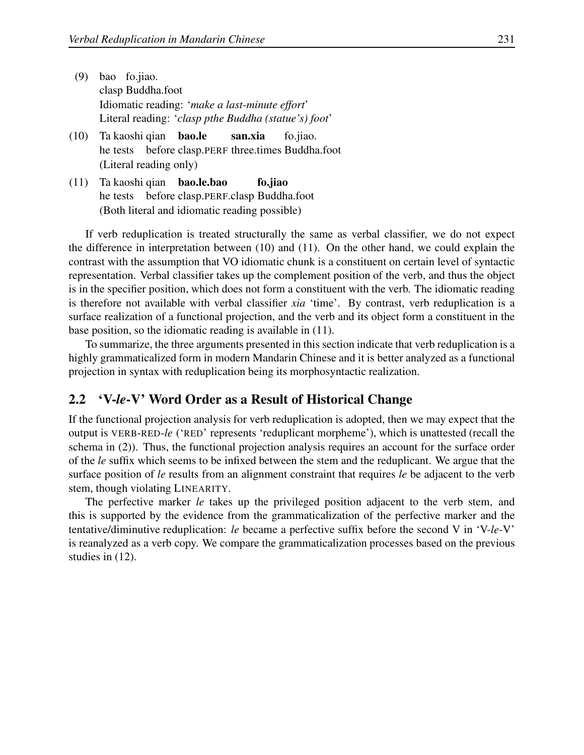- $(9)$ clasp Buddha.foot bao fo.jiao. Idiomatic reading: '*make a last-minute effort*' Literal reading: '*clasp pthe Buddha (statue's) foot*'
- $(10)$ he tests before clasp.PERF three.times Buddha.foot kaoshi qian bao.le san.xia fo.jiao. (Literal reading only)
- $(11)$ he tests before clasp.PERF.clasp Buddha.foot kaoshi qian bao.le.bao fo.jiao (Both literal and idiomatic reading possible)

If verb reduplication is treated structurally the same as verbal classifier, we do not expect the difference in interpretation between (10) and (11). On the other hand, we could explain the contrast with the assumption that VO idiomatic chunk is a constituent on certain level of syntactic representation. Verbal classifier takes up the complement position of the verb, and thus the object is in the specifier position, which does not form a constituent with the verb. The idiomatic reading is therefore not available with verbal classifier *xia* 'time'. By contrast, verb reduplication is a surface realization of a functional projection, and the verb and its object form a constituent in the base position, so the idiomatic reading is available in (11).

To summarize, the three arguments presented in this section indicate that verb reduplication is a highly grammaticalized form in modern Mandarin Chinese and it is better analyzed as a functional projection in syntax with reduplication being its morphosyntactic realization.

## 2.2 'V-*le*-V' Word Order as a Result of Historical Change

If the functional projection analysis for verb reduplication is adopted, then we may expect that the output is VERB-RED-*le* ('RED' represents 'reduplicant morpheme'), which is unattested (recall the schema in (2)). Thus, the functional projection analysis requires an account for the surface order of the *le* suffix which seems to be infixed between the stem and the reduplicant. We argue that the surface position of *le* results from an alignment constraint that requires *le* be adjacent to the verb stem, though violating LINEARITY.

The perfective marker *le* takes up the privileged position adjacent to the verb stem, and this is supported by the evidence from the grammaticalization of the perfective marker and the tentative/diminutive reduplication: *le* became a perfective suffix before the second V in 'V-*le*-V' is reanalyzed as a verb copy. We compare the grammaticalization processes based on the previous studies in (12).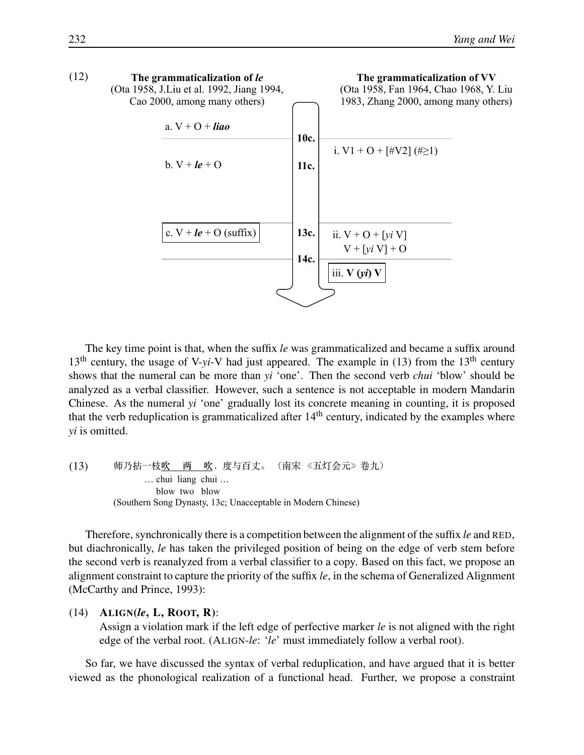

The key time point is that, when the suffix *le* was grammaticalized and became a suffix around  $13<sup>th</sup>$  century, the usage of V-*yi*-V had just appeared. The example in (13) from the 13<sup>th</sup> century shows that the numeral can be more than *yi* 'one'. Then the second verb *chui* 'blow' should be analyzed as a verbal classifier. However, such a sentence is not acceptable in modern Mandarin Chinese. As the numeral *yi* 'one' gradually lost its concrete meaning in counting, it is proposed that the verb reduplication is grammaticalized after  $14<sup>th</sup>$  century, indicated by the examples where *yi* is omitted.

(13) !"#\$%**!"""""#"""""!**&'()\*+,-./,012345678 ,,,,,,,,,,,,,… chui liang chui … blow two blow (Southern Song Dynasty, 13c; Unacceptable in Modern Chinese)

Therefore, synchronically there is a competition between the alignment of the suffix *le* and RED, but diachronically, *le* has taken the privileged position of being on the edge of verb stem before the second verb is reanalyzed from a verbal classifier to a copy. Based on this fact, we propose an alignment constraint to capture the priority of the suffix *le*, in the schema of Generalized Alignment (McCarthy and Prince, 1993):

(14) ALIGN(*le*, L, ROOT, R):

Assign a violation mark if the left edge of perfective marker *le* is not aligned with the right edge of the verbal root. (ALIGN-*le*: '*le*' must immediately follow a verbal root).

So far, we have discussed the syntax of verbal reduplication, and have argued that it is better viewed as the phonological realization of a functional head. Further, we propose a constraint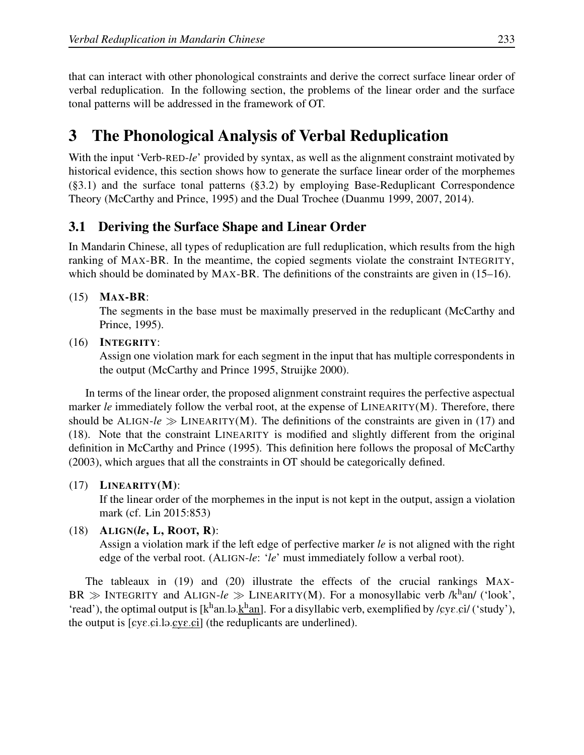that can interact with other phonological constraints and derive the correct surface linear order of verbal reduplication. In the following section, the problems of the linear order and the surface tonal patterns will be addressed in the framework of OT.

# 3 The Phonological Analysis of Verbal Reduplication

With the input 'Verb-RED-*le*' provided by syntax, as well as the alignment constraint motivated by historical evidence, this section shows how to generate the surface linear order of the morphemes (§3.1) and the surface tonal patterns (§3.2) by employing Base-Reduplicant Correspondence Theory (McCarthy and Prince, 1995) and the Dual Trochee (Duanmu 1999, 2007, 2014).

## 3.1 Deriving the Surface Shape and Linear Order

In Mandarin Chinese, all types of reduplication are full reduplication, which results from the high ranking of MAX-BR. In the meantime, the copied segments violate the constraint INTEGRITY, which should be dominated by MAX-BR. The definitions of the constraints are given in (15–16).

## (15) MAX-BR:

The segments in the base must be maximally preserved in the reduplicant (McCarthy and Prince, 1995).

#### (16) INTEGRITY:

Assign one violation mark for each segment in the input that has multiple correspondents in the output (McCarthy and Prince 1995, Struijke 2000).

In terms of the linear order, the proposed alignment constraint requires the perfective aspectual marker *le* immediately follow the verbal root, at the expense of LINEARITY(M). Therefore, there should be ALIGN- $le \gg$  LINEARITY(M). The definitions of the constraints are given in (17) and (18). Note that the constraint LINEARITY is modified and slightly different from the original definition in McCarthy and Prince (1995). This definition here follows the proposal of McCarthy (2003), which argues that all the constraints in OT should be categorically defined.

## $(17)$  LINEARITY $(M)$ :

If the linear order of the morphemes in the input is not kept in the output, assign a violation mark (cf. Lin 2015:853)

## (18) ALIGN(*le*, L, ROOT, R):

Assign a violation mark if the left edge of perfective marker *le* is not aligned with the right edge of the verbal root. (ALIGN-*le*: '*le*' must immediately follow a verbal root).

The tableaux in (19) and (20) illustrate the effects of the crucial rankings MAX-BR  $\gg$  INTEGRITY and ALIGN- $le \gg$  LINEARITY(M). For a monosyllabic verb /k<sup>h</sup>an/ ('look', 'read'), the optimal output is [k<sup>h</sup>an.lə.khan]. For a disyllabic verb, exemplified by /cyε.ci/ ('study'), the output is  $[eye.ceil]$  (the reduplicants are underlined).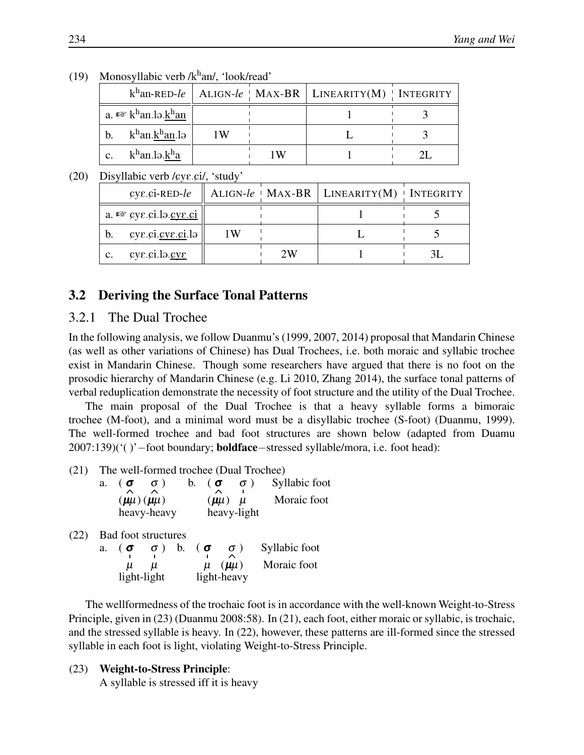|                | $1.101100$ , $1.0010$ , $1.010$ , $1.0010$ , $1.000$   |     |     |                                                                          |  |  |  |
|----------------|--------------------------------------------------------|-----|-----|--------------------------------------------------------------------------|--|--|--|
|                |                                                        |     |     | $k^{\text{h}}$ an-RED-le    ALIGN-le   MAX-BR   LINEARITY(M)   INTEGRITY |  |  |  |
|                | a. $\mathbb{R}$ k <sup>h</sup> an.lə.k <sup>h</sup> an |     |     |                                                                          |  |  |  |
| $\mathbf{b}$ . | k $^{\rm h}$ an.k $^{\rm h}$ an.lə $\parallel$         | 1 W |     |                                                                          |  |  |  |
| $\mathbf{c}$ . | k <sup>h</sup> an.lə.k <sup>h</sup> a                  |     | 1 W |                                                                          |  |  |  |

(19) Monosyllabic verb / $k<sup>h</sup>$ an/, 'look/read'

 $(20)$  Disyllabic verb / $\epsilon$ ve.ci/, 'study'

| $\epsilon$ ye. $\epsilon$ i-RED-le                  |    |    | ALIGN- $le \cdot$ MAX-BR   LINEARITY(M) $\cdot$ INTEGRITY |  |
|-----------------------------------------------------|----|----|-----------------------------------------------------------|--|
| a. $\otimes$ cyc.ci.lo.cyc.ci                       |    |    |                                                           |  |
| $\text{cyc.ci}.\text{cyc.ci}.\text{lo}$<br>b.       | 1W |    |                                                           |  |
| $\epsilon$ ye.ci.lə.cv $\epsilon$<br>$\mathbf{c}$ . |    | 2W |                                                           |  |

## 3.2 Deriving the Surface Tonal Patterns

#### 3.2.1 The Dual Trochee

In the following analysis, we follow Duanmu's (1999, 2007, 2014) proposal that Mandarin Chinese (as well as other variations of Chinese) has Dual Trochees, i.e. both moraic and syllabic trochee exist in Mandarin Chinese. Though some researchers have argued that there is no foot on the prosodic hierarchy of Mandarin Chinese (e.g. Li 2010, Zhang 2014), the surface tonal patterns of verbal reduplication demonstrate the necessity of foot structure and the utility of the Dual Trochee.

The main proposal of the Dual Trochee is that a heavy syllable forms a bimoraic trochee (M-foot), and a minimal word must be a disyllabic trochee (S-foot) (Duanmu, 1999). The well-formed trochee and bad foot structures are shown below (adapted from Duamu 2007:139)('( )'−foot boundary; boldface−stressed syllable/mora, i.e. foot head):

(21) The well-formed trochee (Dual Trochee)

| a. | $\sigma$<br>$\sigma$ ) | $b_{\cdot}$ | $($ $\sigma$<br>$\sigma$ ) | Syllabic foot |
|----|------------------------|-------------|----------------------------|---------------|
|    | $(\mu\mu)(\mu\mu)$     |             | $(\mu\mu)$ $\mu$           | Moraic foot   |
|    | heavy-heavy            |             | heavy-light                |               |

(22) Bad foot structures

| а. ( <b>о</b> | $\sigma$ )  | b. $\sigma$ | $\sigma$ )         | Syllabic foot |
|---------------|-------------|-------------|--------------------|---------------|
| $\mu$ $\mu$   |             |             | $\mu$ ( $\mu\mu$ ) | Moraic foot   |
|               | light-light |             | light-heavy        |               |

The wellformedness of the trochaic foot is in accordance with the well-known Weight-to-Stress Principle, given in (23) (Duanmu 2008:58). In (21), each foot, either moraic or syllabic, is trochaic, and the stressed syllable is heavy. In (22), however, these patterns are ill-formed since the stressed syllable in each foot is light, violating Weight-to-Stress Principle.

#### (23) Weight-to-Stress Principle:

A syllable is stressed iff it is heavy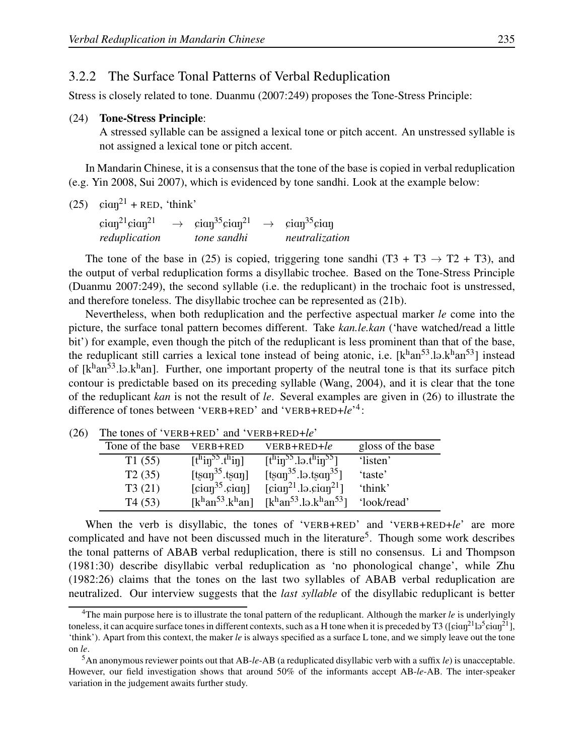#### 3.2.2 The Surface Tonal Patterns of Verbal Reduplication

Stress is closely related to tone. Duanmu (2007:249) proposes the Tone-Stress Principle:

#### (24) Tone-Stress Principle:

A stressed syllable can be assigned a lexical tone or pitch accent. An unstressed syllable is not assigned a lexical tone or pitch accent.

In Mandarin Chinese, it is a consensus that the tone of the base is copied in verbal reduplication (e.g. Yin 2008, Sui 2007), which is evidenced by tone sandhi. Look at the example below:

 $(25)$   $\sin^{21}$  + RED, 'think'

 $\sin^{21} \sin^{21} \rightarrow \sin^{35} \sin^{21} \rightarrow \sin^{35} \sin^{3} \theta$ *reduplication tone sandhi neutralization*

The tone of the base in (25) is copied, triggering tone sandhi (T3 + T3  $\rightarrow$  T2 + T3), and the output of verbal reduplication forms a disyllabic trochee. Based on the Tone-Stress Principle (Duanmu 2007:249), the second syllable (i.e. the reduplicant) in the trochaic foot is unstressed, and therefore toneless. The disyllabic trochee can be represented as (21b).

Nevertheless, when both reduplication and the perfective aspectual marker *le* come into the picture, the surface tonal pattern becomes different. Take *kan.le.kan* ('have watched/read a little bit') for example, even though the pitch of the reduplicant is less prominent than that of the base, the reduplicant still carries a lexical tone instead of being atonic, i.e.  $[k^{\text{h}}an^{53}l]$  instead of  $[k^{\text{h}}an^{53}].b.k^{\text{h}}an]$ . Further, one important property of the neutral tone is that its surface pitch contour is predictable based on its preceding syllable (Wang, 2004), and it is clear that the tone of the reduplicant *kan* is not the result of *le*. Several examples are given in (26) to illustrate the difference of tones between 'VERB+RED' and 'VERB+RED+*le*' 4 :

| THE WILL'S OF VEND TIME AND VEND TIME THE |                                            |                                                              |                   |  |  |  |
|-------------------------------------------|--------------------------------------------|--------------------------------------------------------------|-------------------|--|--|--|
| Tone of the base                          | VERB+RED                                   | $VERB+RED+l$                                                 | gloss of the base |  |  |  |
| T1(55)                                    | $[th$ in <sup>55</sup> .t <sup>h</sup> in] | $[th$ in <sup>55</sup> .lə.t <sup>h</sup> in <sup>55</sup> ] | 'listen'          |  |  |  |
| T2(35)                                    | $[tsan^{35}.tsan]$                         | $[tsan35.ls.tsan35]$                                         | 'taste'           |  |  |  |
| T3(21)                                    | $\lceil \sin^{35} . \sin \rceil$           | $\lceil \sin^{21} \cdot \ln \cdot \sin^{21} \rceil$          | 'think'           |  |  |  |
| T4(53)                                    | $[k^{\text{h}}an^{53}.k^{\text{h}}an]$     | $[khan53.lə.khan53]$                                         | 'look/read'       |  |  |  |

(26) The tones of 'VERB+RED' and 'VERB+RED+*le*'

When the verb is disyllabic, the tones of 'VERB+RED' and 'VERB+RED+*le*' are more complicated and have not been discussed much in the literature<sup>5</sup>. Though some work describes the tonal patterns of ABAB verbal reduplication, there is still no consensus. Li and Thompson (1981:30) describe disyllabic verbal reduplication as 'no phonological change', while Zhu (1982:26) claims that the tones on the last two syllables of ABAB verbal reduplication are neutralized. Our interview suggests that the *last syllable* of the disyllabic reduplicant is better

<sup>4</sup>The main purpose here is to illustrate the tonal pattern of the reduplicant. Although the marker *le* is underlyingly toneless, it can acquire surface tones in different contexts, such as a H tone when it is preceded by T3 ([ $\rm{cia}\rm{q}^{21}\rm{l}$ a- $\rm{cia}\rm{q}^{21}\rm{l}$ ], 'think'). Apart from this context, the maker *le* is always specified as a surface L tone, and we simply leave out the tone on *le*.

<sup>5</sup>An anonymous reviewer points out that AB-*le*-AB (a reduplicated disyllabic verb with a suffix *le*) is unacceptable. However, our field investigation shows that around 50% of the informants accept AB-*le*-AB. The inter-speaker variation in the judgement awaits further study.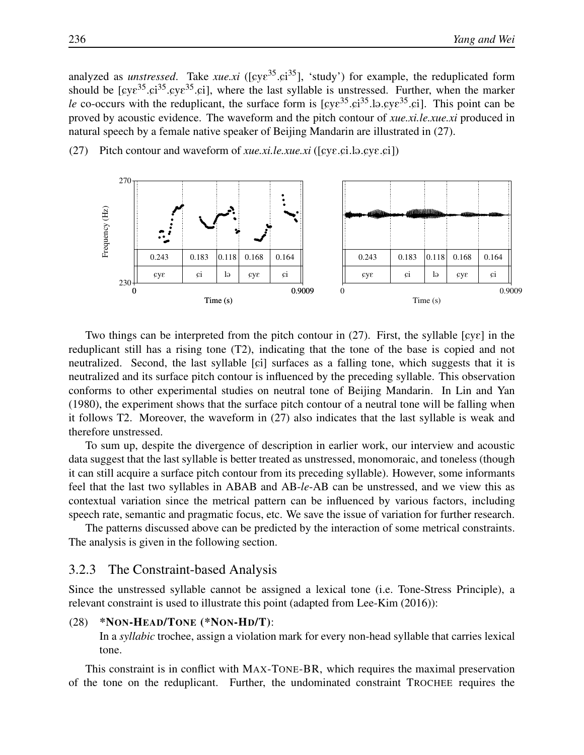analyzed as *unstressed*. Take *xue.xi* ([cye<sup>35</sup>.ci<sup>35</sup>], 'study') for example, the reduplicated form should be  $[cy\varepsilon^{35} \cdot \varepsilon^{35} \cdot \varepsilon^{35} \cdot \varepsilon^{35}]$ , where the last syllable is unstressed. Further, when the marker *le* co-occurs with the reduplicant, the surface form is  $[gy\epsilon^{35} \cdot \epsilon i^{35}]$ .  $gy\epsilon^{35} \cdot \epsilon i$ . This point can be proved by acoustic evidence. The waveform and the pitch contour of *xue.xi.le.xue.xi* produced in natural speech by a female native speaker of Beijing Mandarin are illustrated in (27).

(27) Pitch contour and waveform of *xue.xi.le.xue.xi* ( $[cy\epsilon, ci.1]$ ). $cy\epsilon, ci]$ )



Two things can be interpreted from the pitch contour in (27). First, the syllable [ $\wp\epsilon$ ] in the reduplicant still has a rising tone (T2), indicating that the tone of the base is copied and not neutralized. Second, the last syllable  $[\circ]$  surfaces as a falling tone, which suggests that it is neutralized and its surface pitch contour is influenced by the preceding syllable. This observation conforms to other experimental studies on neutral tone of Beijing Mandarin. In Lin and Yan (1980), the experiment shows that the surface pitch contour of a neutral tone will be falling when it follows T2. Moreover, the waveform in (27) also indicates that the last syllable is weak and therefore unstressed.

To sum up, despite the divergence of description in earlier work, our interview and acoustic data suggest that the last syllable is better treated as unstressed, monomoraic, and toneless (though it can still acquire a surface pitch contour from its preceding syllable). However, some informants feel that the last two syllables in ABAB and AB-*le*-AB can be unstressed, and we view this as contextual variation since the metrical pattern can be influenced by various factors, including speech rate, semantic and pragmatic focus, etc. We save the issue of variation for further research.

The patterns discussed above can be predicted by the interaction of some metrical constraints. The analysis is given in the following section.

#### 3.2.3 The Constraint-based Analysis

Since the unstressed syllable cannot be assigned a lexical tone (i.e. Tone-Stress Principle), a relevant constraint is used to illustrate this point (adapted from Lee-Kim (2016)):

 $(28)$  \*NON-HEAD/TONE (\*NON-HD/T): In a *syllabic* trochee, assign a violation mark for every non-head syllable that carries lexical tone.

This constraint is in conflict with MAX-TONE-BR, which requires the maximal preservation of the tone on the reduplicant. Further, the undominated constraint TROCHEE requires the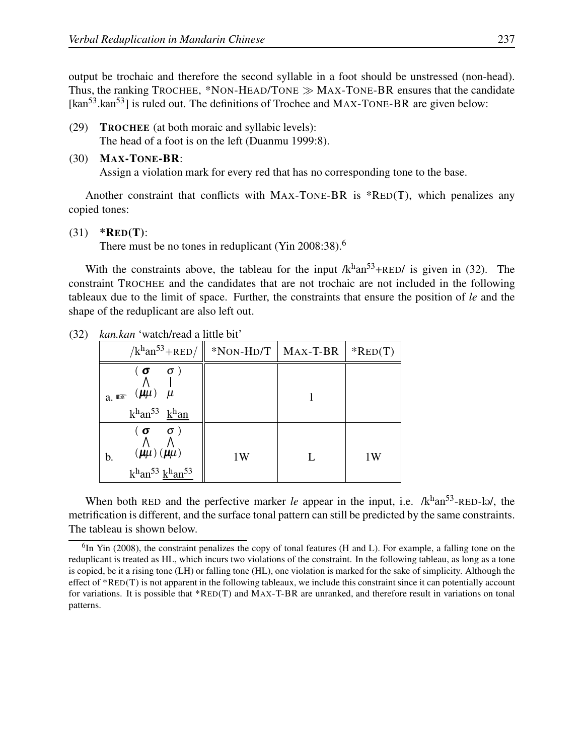output be trochaic and therefore the second syllable in a foot should be unstressed (non-head). Thus, the ranking TROCHEE, \*NON-HEAD/TONE  $\gg$  MAX-TONE-BR ensures that the candidate [kan<sup>53</sup>.kan<sup>53</sup>] is ruled out. The definitions of Trochee and MAX-TONE-BR are given below:

(29) TROCHEE (at both moraic and syllabic levels): The head of a foot is on the left (Duanmu 1999:8).

#### (30) MAX-TONE-BR:

Assign a violation mark for every red that has no corresponding tone to the base.

Another constraint that conflicts with MAX-TONE-BR is \*RED(T), which penalizes any copied tones:

#### $(31)$  \*RED(T):

There must be no tones in reduplicant (Yin  $2008:38$ ).<sup>6</sup>

With the constraints above, the tableau for the input  $/k<sup>h</sup>an<sup>53</sup>+RED/$  is given in (32). The constraint TROCHEE and the candidates that are not trochaic are not included in the following tableaux due to the limit of space. Further, the constraints that ensure the position of *le* and the shape of the reduplicant are also left out.

| $/k^{\text{h}}$ an <sup>53</sup> +RED/                                                                           | $*$ NON-HD/T   MAX-T-BR | $*RED(T)$ |
|------------------------------------------------------------------------------------------------------------------|-------------------------|-----------|
| $\sigma$ )<br>$($ $\sigma$<br>a. $\mathbb{R}$ $(\mu\mu)$ $\mu$<br>$k^{\rm h}$ an <sup>53</sup> k <sup>h</sup> an |                         |           |
| $(\sigma \quad \sigma)$<br>$(\mu\mu)$ $(\mu\mu)$<br>b.<br>$khan53 khan53$                                        | 1W                      | 1W        |

(32) *kan.kan* 'watch/read a little bit'

When both RED and the perfective marker *le* appear in the input, i.e.  $/k<sup>h</sup>an<sup>53</sup>$ -RED-la/, the metrification is different, and the surface tonal pattern can still be predicted by the same constraints. The tableau is shown below.

 ${}^{6}$ In Yin (2008), the constraint penalizes the copy of tonal features (H and L). For example, a falling tone on the reduplicant is treated as HL, which incurs two violations of the constraint. In the following tableau, as long as a tone is copied, be it a rising tone (LH) or falling tone (HL), one violation is marked for the sake of simplicity. Although the effect of \*RED(T) is not apparent in the following tableaux, we include this constraint since it can potentially account for variations. It is possible that \*RED(T) and MAX-T-BR are unranked, and therefore result in variations on tonal patterns.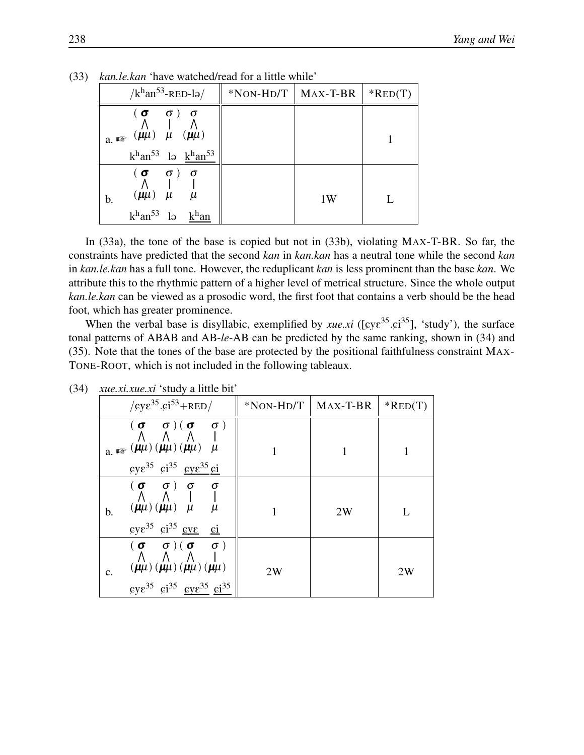| $/k^{\text{h}}$ an <sup>53</sup> -RED-lə/                                                                                                               | $*$ NON-HD/T   MAX-T-BR |    | $*RED(T)$ |
|---------------------------------------------------------------------------------------------------------------------------------------------------------|-------------------------|----|-----------|
| $(\sigma \quad \sigma) \quad \sigma$<br>a. $\mathbb{R}$ ( $\mu\mu$ ) $\mu$ ( $\mu\mu$ )<br>$k^{\rm h}$ an <sup>53</sup> lə $k^{\rm h}$ an <sup>53</sup> |                         |    |           |
| $(\sigma \quad \sigma) \quad \sigma$<br>$(\mu\mu)$ $\mu$ $\mu$<br>b.<br>$k^{\rm h}$ an <sup>53</sup> lə                                                 |                         | 1W |           |

(33) *kan.le.kan* 'have watched/read for a little while'

In (33a), the tone of the base is copied but not in (33b), violating MAX-T-BR. So far, the constraints have predicted that the second *kan* in *kan.kan* has a neutral tone while the second *kan* in *kan.le.kan* has a full tone. However, the reduplicant *kan* is less prominent than the base *kan*. We attribute this to the rhythmic pattern of a higher level of metrical structure. Since the whole output *kan.le.kan* can be viewed as a prosodic word, the first foot that contains a verb should be the head foot, which has greater prominence.

When the verbal base is disyllabic, exemplified by *xue.xi* ( $[cye^{35}.ci^{35}]$ , 'study'), the surface tonal patterns of ABAB and AB-*le*-AB can be predicted by the same ranking, shown in (34) and (35). Note that the tones of the base are protected by the positional faithfulness constraint MAX-TONE-ROOT, which is not included in the following tableaux.

| $\sqrt{\text{cyc}^{35} \cdot \text{ci}^{53} + \text{RED}}$                                                                                                                                                                                        | $*$ NON-HD/T | MAX-T-BR | $*RED(T)$ |
|---------------------------------------------------------------------------------------------------------------------------------------------------------------------------------------------------------------------------------------------------|--------------|----------|-----------|
| $(\sigma - \sigma)(\sigma - \sigma)$<br>$a_{\mu}$ as $(\mu\mu)(\mu\mu)(\mu\mu)$ $\mu$<br>$\epsilon y \epsilon^{35}$ $\epsilon i^{35}$ $\epsilon y \epsilon^{35}$ $\epsilon i$                                                                     |              |          |           |
| $(\begin{array}{ccc} (\sigma & \sigma) & \sigma & \sigma \\ \Lambda & \Lambda &   &   \end{array})$<br>$(\mu\mu)(\mu\mu)$ $\mu$<br>$\mu$<br>b.<br>$\epsilon y \epsilon^{35}$ $\epsilon i^{35}$ $\epsilon y \epsilon$<br>$\mathbf{c}$ <sub>i</sub> |              | 2W       | L         |
| $(\sigma - \sigma)(\sigma - \sigma)$<br>$(\mu\mu)$ $(\mu\mu)$ $(\mu\mu)$ $(\mu\mu)$<br>c.<br>$gy\epsilon^{35}$ $gi^{35}$ $gy\epsilon^{35}$ $gi^{35}$                                                                                              | 2W           |          | 2W        |

(34) *xue.xi.xue.xi* 'study a little bit'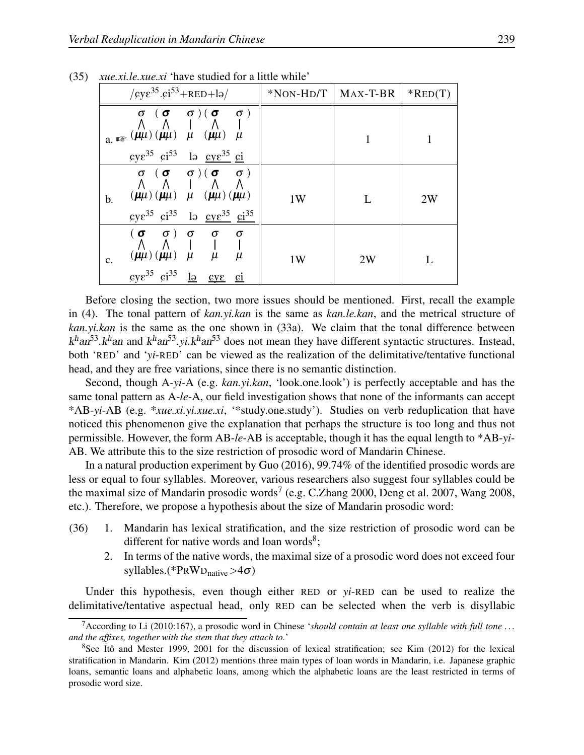| $\sqrt{\text{gy}\epsilon^{35}}\cdot \text{gi}^{53} + \text{RED} + \text{lo}$                                                                                                                                                                                                               |    | $*$ NON-HD/T   MAX-T-BR | $*RED(T)$ |
|--------------------------------------------------------------------------------------------------------------------------------------------------------------------------------------------------------------------------------------------------------------------------------------------|----|-------------------------|-----------|
| $\begin{array}{ccccc}\n\sigma & (\sigma & \sigma)(\sigma & \sigma)\\ \Lambda & \Lambda & \Lambda & \Lambda\n\end{array}$<br>$a_{\mu}$ as $(\mu\mu)(\mu\mu)$ $\mu$ $(\mu\mu)$ $\mu$<br>$\zeta y \zeta^{35}$ $\zeta i^{53}$ la $\zeta y \zeta^{35}$ $\zeta i$                                |    |                         |           |
| $\begin{array}{ccccc}\n\sigma & (\sigma & \sigma)(\sigma & \sigma)\\ \Lambda & \Lambda & \Lambda\n\end{array}$<br>$(\mu\mu) (\mu\mu)$ $\mu$ $(\mu\mu) (\mu\mu)$<br>$\mathbf b$ .<br>$\zeta y \zeta^{35}$ $\zeta i^{35}$ la $\zeta y \zeta^{35}$ $\zeta i^{35}$                             | 1W | L                       | 2W        |
| $(\begin{array}{cccccc} (\sigma & \sigma) & \sigma & \sigma & \sigma \\ \Lambda & \Lambda & \vert & \vert & \vert & \vert \end{array}$<br>$(\mu\mu)(\mu\mu)$ $\mu$ $\mu$<br>$\mu$<br>c.<br>$\text{cyc}^{35}$ $\text{ci}^{35}$ $\frac{1}{2}$<br>$\mathcal{C}V\mathcal{E}$<br>C <sub>1</sub> | 1W | 2W                      |           |

(35) *xue.xi.le.xue.xi* 'have studied for a little while'

Before closing the section, two more issues should be mentioned. First, recall the example in (4). The tonal pattern of *kan.yi.kan* is the same as *kan.le.kan*, and the metrical structure of *kan.yi.kan* is the same as the one shown in (33a). We claim that the tonal difference between  $k<sup>h</sup>an<sup>53</sup>$ . $k<sup>h</sup>an$  and  $k<sup>h</sup>an<sup>53</sup>$ .yi. $k<sup>h</sup>an<sup>53</sup>$  does not mean they have different syntactic structures. Instead, both 'RED' and '*yi*-RED' can be viewed as the realization of the delimitative/tentative functional head, and they are free variations, since there is no semantic distinction.

Second, though A-*yi*-A (e.g. *kan.yi.kan*, 'look.one.look') is perfectly acceptable and has the same tonal pattern as A-*le*-A, our field investigation shows that none of the informants can accept \*AB-*yi*-AB (e.g. \**xue.xi.yi.xue.xi*, '\*study.one.study'). Studies on verb reduplication that have noticed this phenomenon give the explanation that perhaps the structure is too long and thus not permissible. However, the form AB-*le*-AB is acceptable, though it has the equal length to \*AB-*yi*-AB. We attribute this to the size restriction of prosodic word of Mandarin Chinese.

In a natural production experiment by Guo (2016), 99.74% of the identified prosodic words are less or equal to four syllables. Moreover, various researchers also suggest four syllables could be the maximal size of Mandarin prosodic words<sup>7</sup> (e.g. C.Zhang 2000, Deng et al. 2007, Wang 2008, etc.). Therefore, we propose a hypothesis about the size of Mandarin prosodic word:

- (36) 1. Mandarin has lexical stratification, and the size restriction of prosodic word can be different for native words and loan words<sup>8</sup>;
	- 2. In terms of the native words, the maximal size of a prosodic word does not exceed four syllables.(\* $PRWD_{\text{native}} > 4\sigma$ )

Under this hypothesis, even though either RED or *yi*-RED can be used to realize the delimitative/tentative aspectual head, only RED can be selected when the verb is disyllabic

<sup>&</sup>lt;sup>7</sup> According to Li (2010:167), a prosodic word in Chinese *'should contain at least one syllable with full tone*  $\dots$ *and the affixes, together with the stem that they attach to.*'

<sup>&</sup>lt;sup>8</sup>See Itô and Mester 1999, 2001 for the discussion of lexical stratification; see Kim (2012) for the lexical stratification in Mandarin. Kim (2012) mentions three main types of loan words in Mandarin, i.e. Japanese graphic loans, semantic loans and alphabetic loans, among which the alphabetic loans are the least restricted in terms of prosodic word size.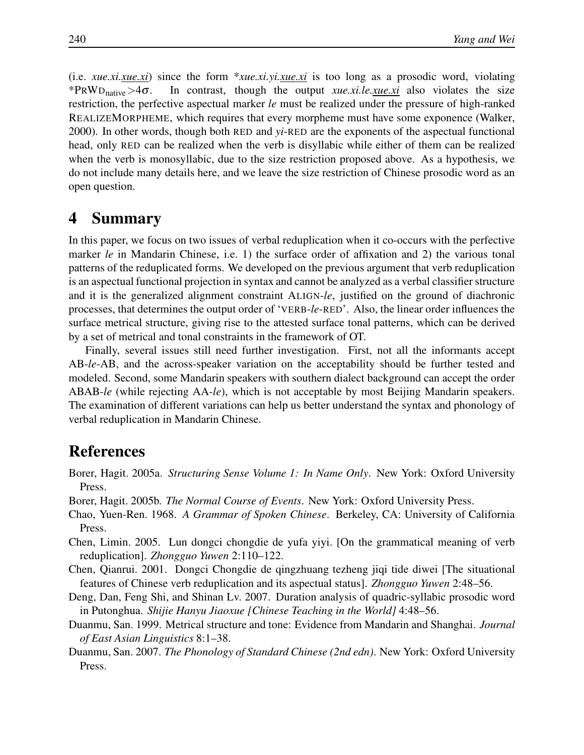(i.e. *xue.xi.xue.xi*) since the form \**xue.xi.yi.xue.xi* is too long as a prosodic word, violating \*PRWD<sub>native</sub>>4 $\sigma$ . In contrast, though the output *xue.xi.le.xue.xi* also violates the size restriction, the perfective aspectual marker *le* must be realized under the pressure of high-ranked REALIZEMORPHEME, which requires that every morpheme must have some exponence (Walker, 2000). In other words, though both RED and *yi*-RED are the exponents of the aspectual functional head, only RED can be realized when the verb is disyllabic while either of them can be realized when the verb is monosyllabic, due to the size restriction proposed above. As a hypothesis, we do not include many details here, and we leave the size restriction of Chinese prosodic word as an open question.

# 4 Summary

In this paper, we focus on two issues of verbal reduplication when it co-occurs with the perfective marker *le* in Mandarin Chinese, i.e. 1) the surface order of affixation and 2) the various tonal patterns of the reduplicated forms. We developed on the previous argument that verb reduplication is an aspectual functional projection in syntax and cannot be analyzed as a verbal classifier structure and it is the generalized alignment constraint ALIGN-*le*, justified on the ground of diachronic processes, that determines the output order of 'VERB-*le*-RED'. Also, the linear order influences the surface metrical structure, giving rise to the attested surface tonal patterns, which can be derived by a set of metrical and tonal constraints in the framework of OT.

Finally, several issues still need further investigation. First, not all the informants accept AB-*le*-AB, and the across-speaker variation on the acceptability should be further tested and modeled. Second, some Mandarin speakers with southern dialect background can accept the order ABAB-*le* (while rejecting AA-*le*), which is not acceptable by most Beijing Mandarin speakers. The examination of different variations can help us better understand the syntax and phonology of verbal reduplication in Mandarin Chinese.

# References

- Borer, Hagit. 2005a. *Structuring Sense Volume 1: In Name Only*. New York: Oxford University Press.
- Borer, Hagit. 2005b. *The Normal Course of Events*. New York: Oxford University Press.
- Chao, Yuen-Ren. 1968. *A Grammar of Spoken Chinese*. Berkeley, CA: University of California Press.
- Chen, Limin. 2005. Lun dongci chongdie de yufa yiyi. [On the grammatical meaning of verb reduplication]. *Zhongguo Yuwen* 2:110–122.
- Chen, Qianrui. 2001. Dongci Chongdie de qingzhuang tezheng jiqi tide diwei [The situational features of Chinese verb reduplication and its aspectual status]. *Zhongguo Yuwen* 2:48–56.
- Deng, Dan, Feng Shi, and Shinan Lv. 2007. Duration analysis of quadric-syllabic prosodic word in Putonghua. *Shijie Hanyu Jiaoxue [Chinese Teaching in the World]* 4:48–56.
- Duanmu, San. 1999. Metrical structure and tone: Evidence from Mandarin and Shanghai. *Journal of East Asian Linguistics* 8:1–38.
- Duanmu, San. 2007. *The Phonology of Standard Chinese (2nd edn)*. New York: Oxford University Press.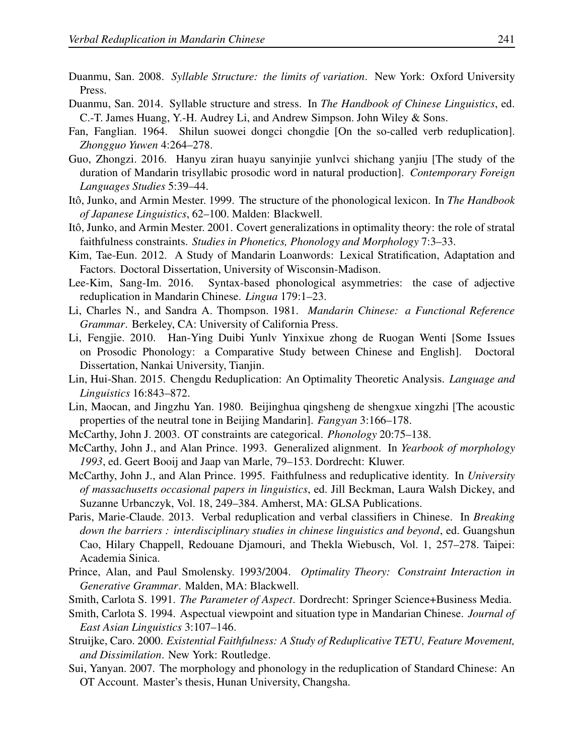- Duanmu, San. 2008. *Syllable Structure: the limits of variation*. New York: Oxford University Press.
- Duanmu, San. 2014. Syllable structure and stress. In *The Handbook of Chinese Linguistics*, ed. C.-T. James Huang, Y.-H. Audrey Li, and Andrew Simpson. John Wiley & Sons.
- Fan, Fanglian. 1964. Shilun suowei dongci chongdie [On the so-called verb reduplication]. *Zhongguo Yuwen* 4:264–278.
- Guo, Zhongzi. 2016. Hanyu ziran huayu sanyinjie yunlvci shichang yanjiu [The study of the duration of Mandarin trisyllabic prosodic word in natural production]. *Contemporary Foreign Languages Studies* 5:39–44.
- Itô, Junko, and Armin Mester. 1999. The structure of the phonological lexicon. In *The Handbook of Japanese Linguistics*, 62–100. Malden: Blackwell.
- Itô, Junko, and Armin Mester. 2001. Covert generalizations in optimality theory: the role of stratal faithfulness constraints. *Studies in Phonetics, Phonology and Morphology* 7:3–33.
- Kim, Tae-Eun. 2012. A Study of Mandarin Loanwords: Lexical Stratification, Adaptation and Factors. Doctoral Dissertation, University of Wisconsin-Madison.
- Lee-Kim, Sang-Im. 2016. Syntax-based phonological asymmetries: the case of adjective reduplication in Mandarin Chinese. *Lingua* 179:1–23.
- Li, Charles N., and Sandra A. Thompson. 1981. *Mandarin Chinese: a Functional Reference Grammar*. Berkeley, CA: University of California Press.
- Li, Fengjie. 2010. Han-Ying Duibi Yunlv Yinxixue zhong de Ruogan Wenti [Some Issues on Prosodic Phonology: a Comparative Study between Chinese and English]. Doctoral Dissertation, Nankai University, Tianjin.
- Lin, Hui-Shan. 2015. Chengdu Reduplication: An Optimality Theoretic Analysis. *Language and Linguistics* 16:843–872.
- Lin, Maocan, and Jingzhu Yan. 1980. Beijinghua qingsheng de shengxue xingzhi [The acoustic properties of the neutral tone in Beijing Mandarin]. *Fangyan* 3:166–178.
- McCarthy, John J. 2003. OT constraints are categorical. *Phonology* 20:75–138.
- McCarthy, John J., and Alan Prince. 1993. Generalized alignment. In *Yearbook of morphology 1993*, ed. Geert Booij and Jaap van Marle, 79–153. Dordrecht: Kluwer.
- McCarthy, John J., and Alan Prince. 1995. Faithfulness and reduplicative identity. In *University of massachusetts occasional papers in linguistics*, ed. Jill Beckman, Laura Walsh Dickey, and Suzanne Urbanczyk, Vol. 18, 249–384. Amherst, MA: GLSA Publications.
- Paris, Marie-Claude. 2013. Verbal reduplication and verbal classifiers in Chinese. In *Breaking down the barriers : interdisciplinary studies in chinese linguistics and beyond*, ed. Guangshun Cao, Hilary Chappell, Redouane Djamouri, and Thekla Wiebusch, Vol. 1, 257–278. Taipei: Academia Sinica.
- Prince, Alan, and Paul Smolensky. 1993/2004. *Optimality Theory: Constraint Interaction in Generative Grammar*. Malden, MA: Blackwell.
- Smith, Carlota S. 1991. *The Parameter of Aspect*. Dordrecht: Springer Science+Business Media.
- Smith, Carlota S. 1994. Aspectual viewpoint and situation type in Mandarian Chinese. *Journal of East Asian Linguistics* 3:107–146.
- Struijke, Caro. 2000. *Existential Faithfulness: A Study of Reduplicative TETU, Feature Movement, and Dissimilation*. New York: Routledge.
- Sui, Yanyan. 2007. The morphology and phonology in the reduplication of Standard Chinese: An OT Account. Master's thesis, Hunan University, Changsha.